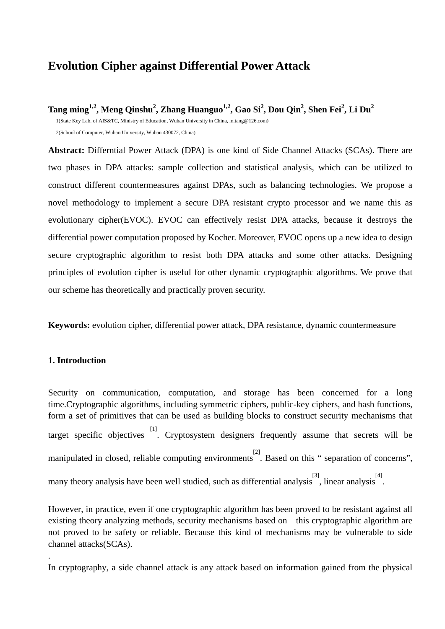# **Evolution Cipher against Differential Power Attack**

**Tang ming1,2, Meng Qinshu2 , Zhang Huanguo1,2, Gao Si2 , Dou Qin2 , Shen Fei<sup>2</sup> , Li Du2**

1(State Key Lab. of AIS&TC, Ministry of Education, Wuhan University in China, m.tang@126.com) 2(School of Computer, Wuhan University, Wuhan 430072, China)

**Abstract:** Differntial Power Attack (DPA) is one kind of Side Channel Attacks (SCAs). There are two phases in DPA attacks: sample collection and statistical analysis, which can be utilized to construct different countermeasures against DPAs, such as balancing technologies. We propose a novel methodology to implement a secure DPA resistant crypto processor and we name this as evolutionary cipher(EVOC). EVOC can effectively resist DPA attacks, because it destroys the differential power computation proposed by Kocher. Moreover, EVOC opens up a new idea to design secure cryptographic algorithm to resist both DPA attacks and some other attacks. Designing principles of evolution cipher is useful for other dynamic cryptographic algorithms. We prove that our scheme has theoretically and practically proven security.

**Keywords:** evolution cipher, differential power attack, DPA resistance, dynamic countermeasure

## **1. Introduction**

.

Security on communication, computation, and storage has been concerned for a long time.Cryptographic algorithms, including symmetric ciphers, public-key ciphers, and hash functions, form a set of primitives that can be used as building blocks to construct security mechanisms that target specific objectives  $\begin{bmatrix} 11 \\ 2 \end{bmatrix}$ . Cryptosystem designers frequently assume that secrets will be manipulated in closed, reliable computing environments<sup>[2]</sup>. Based on this " separation of concerns", many theory analysis have been well studied, such as differential analysis<sup>[3]</sup>, linear analysis<sup>[4]</sup>.

However, in practice, even if one cryptographic algorithm has been proved to be resistant against all existing theory analyzing methods, security mechanisms based on this cryptographic algorithm are not proved to be safety or reliable. Because this kind of mechanisms may be vulnerable to side channel attacks(SCAs).

In [cryptography,](http://en.wikipedia.org/wiki/Cryptography) a side channel attack is any attack based on information gained from the physical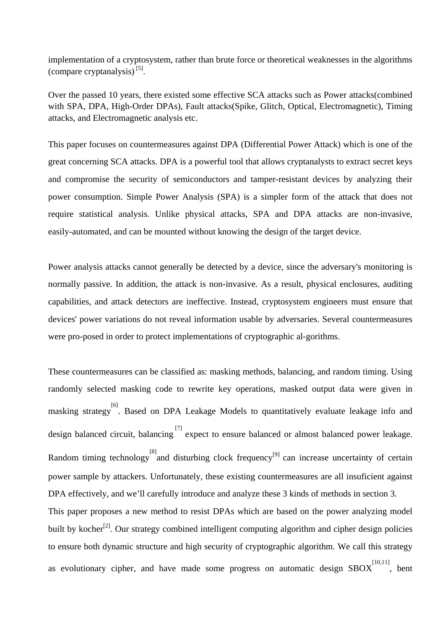[implementation](http://en.wikipedia.org/wiki/Implementation) of a [cryptosystem](http://en.wikipedia.org/wiki/Cryptosystem), rather than [brute force](http://en.wikipedia.org/wiki/Brute_force_attack) or theoretical weaknesses in the [algorithms](http://en.wikipedia.org/wiki/Algorithm) (compare [cryptanalysis](http://en.wikipedia.org/wiki/Cryptanalysis)) [5].

Over the passed 10 years, there existed some effective SCA attacks such as Power attacks(combined with SPA, DPA, High-Order DPAs), Fault attacks(Spike, Glitch, Optical, Electromagnetic), Timing attacks, and Electromagnetic analysis etc.

This paper focuses on countermeasures against DPA (Differential Power Attack) which is one of the great concerning SCA attacks. DPA is a powerful tool that allows cryptanalysts to extract secret keys and compromise the security of semiconductors and tamper-resistant devices by analyzing their power consumption. Simple Power Analysis (SPA) is a simpler form of the attack that does not require statistical analysis. Unlike physical attacks, SPA and DPA attacks are non-invasive, easily-automated, and can be mounted without knowing the design of the target device.

Power analysis attacks cannot generally be detected by a device, since the adversary's monitoring is normally passive. In addition, the attack is non-invasive. As a result, physical enclosures, auditing capabilities, and attack detectors are ineffective. Instead, cryptosystem engineers must ensure that devices' power variations do not reveal information usable by adversaries. Several countermeasures were pro-posed in order to protect implementations of cryptographic al-gorithms.

These countermeasures can be classified as: masking methods, balancing, and random timing. Using randomly selected masking code to rewrite key operations, masked output data were given in masking strategy [6] . Based on DPA Leakage Models to quantitatively evaluate leakage info and design balanced circuit, balancing [7] expect to ensure balanced or almost balanced power leakage. Random timing technology and disturbing clock frequency<sup>[9]</sup> can increase uncertainty of certain power sample by attackers. Unfortunately, these existing countermeasures are all insuficient against DPA effectively, and we'll carefully introduce and analyze these 3 kinds of methods in section 3. This paper proposes a new method to resist DPAs which are based on the power analyzing model built by kocher<sup>[2]</sup>. Our strategy combined intelligent computing algorithm and cipher design policies to ensure both dynamic structure and high security of cryptographic algorithm. We call this strategy as evolutionary cipher, and have made some progress on automatic design  $SBOX^{[10,11]}$ , bent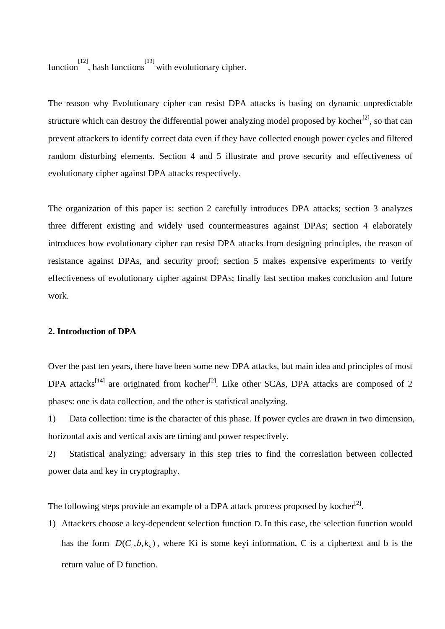function<sup>[12]</sup>, hash functions<sup>[13]</sup> with evolutionary cipher.

The reason why Evolutionary cipher can resist DPA attacks is basing on dynamic unpredictable structure which can destroy the differential power analyzing model proposed by kocher<sup>[2]</sup>, so that can prevent attackers to identify correct data even if they have collected enough power cycles and filtered random disturbing elements. Section 4 and 5 illustrate and prove security and effectiveness of evolutionary cipher against DPA attacks respectively.

The organization of this paper is: section 2 carefully introduces DPA attacks; section 3 analyzes three different existing and widely used countermeasures against DPAs; section 4 elaborately introduces how evolutionary cipher can resist DPA attacks from designing principles, the reason of resistance against DPAs, and security proof; section 5 makes expensive experiments to verify effectiveness of evolutionary cipher against DPAs; finally last section makes conclusion and future work.

## **2. Introduction of DPA**

Over the past ten years, there have been some new DPA attacks, but main idea and principles of most DPA attacks<sup>[14]</sup> are originated from kocher<sup>[2]</sup>. Like other SCAs, DPA attacks are composed of 2 phases: one is data collection, and the other is statistical analyzing.

1) Data collection: time is the character of this phase. If power cycles are drawn in two dimension, horizontal axis and vertical axis are timing and power respectively.

2) Statistical analyzing: adversary in this step tries to find the correslation between collected power data and key in cryptography.

The following steps provide an example of a DPA attack process proposed by kocher<sup>[2]</sup>.

1) Attackers choose a key-dependent selection function D. In this case, the selection function would has the form  $D(C_i, b, k_s)$ , where Ki is some keyi information, C is a ciphertext and b is the return value of D function.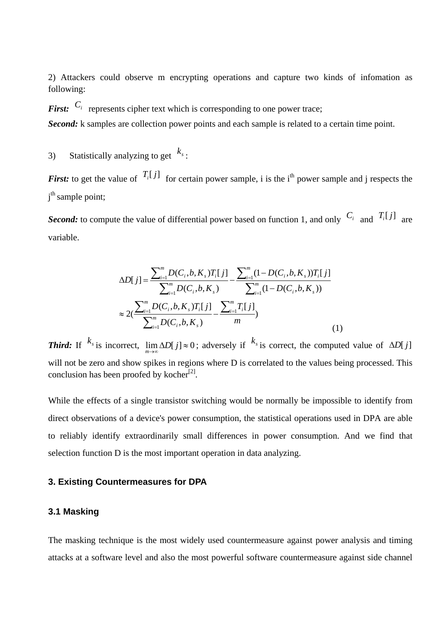2) Attackers could observe m encrypting operations and capture two kinds of infomation as following:

*First:*  $C_i$  represents cipher text which is corresponding to one power trace;

*Second:* k samples are collection power points and each sample is related to a certain time point.

3) Statistically analyzing to get  $k_s$ :

*First:* to get the value of  $T_i[j]$  for certain power sample, i is the i<sup>th</sup> power sample and j respects the j<sup>th</sup> sample point;

*Second:* to compute the value of differential power based on function 1, and only  $C_i$  and  $T_i[j]$  are variable.

$$
\Delta D[j] = \frac{\sum_{i=1}^{m} D(C_i, b, K_s) T_i[j]}{\sum_{i=1}^{m} D(C_i, b, K_s)} - \frac{\sum_{i=1}^{m} (1 - D(C_i, b, K_s)) T_i[j]}{\sum_{i=1}^{m} (1 - D(C_i, b, K_s))}
$$
  
\n
$$
\approx 2(\frac{\sum_{i=1}^{m} D(C_i, b, K_s) T_i[j]}{\sum_{i=1}^{m} D(C_i, b, K_s)} - \frac{\sum_{i=1}^{m} T_i[j]}{m})
$$
 (1)

*Third:* If  $^{k_s}$  is incorrect,  $\lim_{m\to\infty} \Delta D[j] \approx 0$ ; adversely if  $^{k_s}$  is correct, the computed value of  $\Delta D[j]$ will not be zero and show spikes in regions where D is correlated to the values being processed. This conclusion has been proofed by kocher<sup>[2]</sup>.

While the effects of a single transistor switching would be normally be impossible to identify from direct observations of a device's power consumption, the statistical operations used in DPA are able to reliably identify extraordinarily small differences in power consumption. And we find that selection function D is the most important operation in data analyzing.

## **3. Existing Countermeasures for DPA**

# **3.1 Masking**

The masking technique is the most widely used countermeasure against power analysis and timing attacks at a software level and also the most powerful software countermeasure against side channel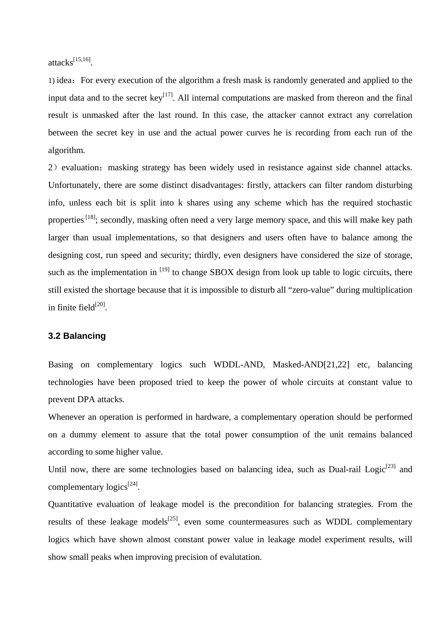attacks $^{[15,16]}$ 

1) idea: For every execution of the algorithm a fresh mask is randomly generated and applied to the input data and to the secret  $key^{[17]}$ . All internal computations are masked from thereon and the final result is unmasked after the last round. In this case, the attacker cannot extract any correlation between the secret key in use and the actual power curves he is recording from each run of the algorithm.

2) evaluation: masking strategy has been widely used in resistance against side channel attacks. Unfortunately, there are some distinct disadvantages: firstly, attackers can filter random disturbing info, unless each bit is split into k shares using any scheme which has the required stochastic properties <sup>[18]</sup>; secondly, masking often need a very large memory space, and this will make key path larger than usual implementations, so that designers and users often have to balance among the designing cost, run speed and security; thirdly, even designers have considered the size of storage, such as the implementation in  $[19]$  to change SBOX design from look up table to logic circuits, there still existed the shortage because that it is impossible to disturb all "zero-value" during multiplication in finite field $[20]$ .

#### **3.2 Balancing**

Basing on complementary logics such WDDL-AND, Masked-AND[21,22] etc, balancing technologies have been proposed tried to keep the power of whole circuits at constant value to prevent DPA attacks.

Whenever an operation is performed in hardware, a complementary operation should be performed on a dummy element to assure that the total power consumption of the unit remains balanced according to some higher value.

Until now, there are some technologies based on balancing idea, such as Dual-rail Logic<sup>[23]</sup> and complementary logics<sup>[24]</sup>.

Quantitative evaluation of leakage model is the precondition for balancing strategies. From the results of these leakage models<sup>[25]</sup>, even some countermeasures such as WDDL complementary logics which have shown almost constant power value in leakage model experiment results, will show small peaks when improving precision of evalutation.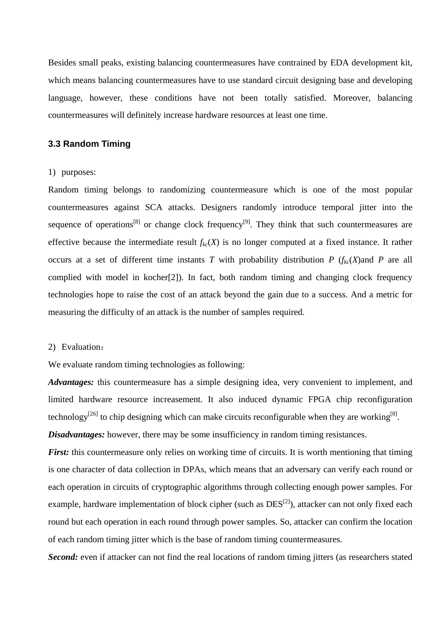Besides small peaks, existing balancing countermeasures have contrained by EDA development kit, which means balancing countermeasures have to use standard circuit designing base and developing language, however, these conditions have not been totally satisfied. Moreover, balancing countermeasures will definitely increase hardware resources at least one time.

# **3.3 Random Timing**

#### 1) purposes:

Random timing belongs to randomizing countermeasure which is one of the most popular countermeasures against SCA attacks. Designers randomly introduce temporal jitter into the sequence of operations<sup>[8]</sup> or change clock frequency<sup>[9]</sup>. They think that such countermeasures are effective because the intermediate result  $f_{k}(X)$  is no longer computed at a fixed instance. It rather occurs at a set of different time instants *T* with probability distribution *P* ( $f_{kc}(X)$ and *P* are all complied with model in kocher[2]). In fact, both random timing and changing clock frequency technologies hope to raise the cost of an attack beyond the gain due to a success. And a metric for measuring the difficulty of an attack is the number of samples required.

## 2) Evaluation:

We evaluate random timing technologies as following:

*Advantages:* this countermeasure has a simple designing idea, very convenient to implement, and limited hardware resource increasement. It also induced dynamic FPGA chip reconfiguration technology<sup>[26]</sup> to chip designing which can make circuits reconfigurable when they are working<sup>[8]</sup>. *Disadvantages:* however, there may be some insufficiency in random timing resistances.

*First:* this countermeasure only relies on working time of circuits. It is worth mentioning that timing is one character of data collection in DPAs, which means that an adversary can verify each round or each operation in circuits of cryptographic algorithms through collecting enough power samples. For example, hardware implementation of block cipher (such as  $DES^{[2]}$ ), attacker can not only fixed each round but each operation in each round through power samples. So, attacker can confirm the location of each random timing jitter which is the base of random timing countermeasures.

**Second:** even if attacker can not find the real locations of random timing jitters (as researchers stated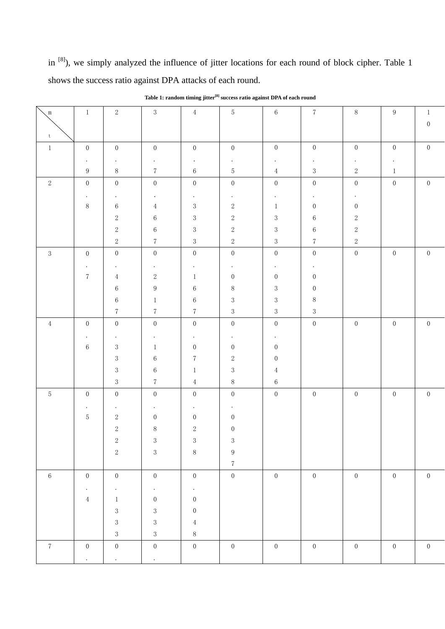in <sup>[8]</sup>), we simply analyzed the influence of jitter locations for each round of block cipher. Table 1 shows the success ratio against DPA attacks of each round.

| $\mathbb{m}$   | $\mathbf{1}$            | $\,2$            | $\sqrt{3}$       | $\overline{4}$   | $\mathbf 5$      | $\,6\,$          | $\overline{7}$   | 8                | 9                | 1                |
|----------------|-------------------------|------------------|------------------|------------------|------------------|------------------|------------------|------------------|------------------|------------------|
|                |                         |                  |                  |                  |                  |                  |                  |                  |                  | $\boldsymbol{0}$ |
| t              |                         |                  |                  |                  |                  |                  |                  |                  |                  |                  |
| $\,1$          | $\boldsymbol{0}$        | $\boldsymbol{0}$ | $\boldsymbol{0}$ | $\boldsymbol{0}$ | $\boldsymbol{0}$ | $\boldsymbol{0}$ | $\boldsymbol{0}$ | $\boldsymbol{0}$ | $\boldsymbol{0}$ | $\boldsymbol{0}$ |
|                | $\bullet$               |                  |                  | $\bullet$        |                  |                  |                  |                  |                  |                  |
|                | $\boldsymbol{9}$        | $8\,$            | $\sqrt{7}$       | $\,6\,$          | $\bf 5$          | $\,4$            | $\sqrt{3}$       | $\,2$            | $\mathbf{1}$     |                  |
| $\sqrt{2}$     | $\boldsymbol{0}$        | $\boldsymbol{0}$ | $\boldsymbol{0}$ | $\boldsymbol{0}$ | $\boldsymbol{0}$ | $\boldsymbol{0}$ | $\boldsymbol{0}$ | $\boldsymbol{0}$ | $\boldsymbol{0}$ | $\boldsymbol{0}$ |
|                | $\bullet$               | $\bullet$        | $\bullet$        | $\bullet$        | ٠                |                  |                  |                  |                  |                  |
|                | $8\,$                   | $\,6\,$          | $\,4$            | $\sqrt{3}$       | $\sqrt{2}$       | $\mathbf{1}$     | $\boldsymbol{0}$ | $\boldsymbol{0}$ |                  |                  |
|                |                         | $\,2$            | $\,6$            | $\sqrt{3}$       | $\,2$            | $\sqrt{3}$       | $\,6\,$          | $\,2$            |                  |                  |
|                |                         | $\,2$            | $\,6\,$          | $\sqrt{3}$       | $\,2$            | $\sqrt{3}$       | $\,6\,$          | $\,2$            |                  |                  |
|                |                         | $\sqrt{2}$       | $\sqrt{7}$       | $\sqrt{3}$       | $\,2$            | $\sqrt{3}$       | $\sqrt{7}$       | $\,2$            |                  |                  |
| $\sqrt{3}$     | $\boldsymbol{0}$        | $\boldsymbol{0}$ | $\boldsymbol{0}$ | $\boldsymbol{0}$ | $\boldsymbol{0}$ | $\boldsymbol{0}$ | $\boldsymbol{0}$ | $\boldsymbol{0}$ | $\boldsymbol{0}$ | $\boldsymbol{0}$ |
|                | $\bullet$               | $\bullet$        | $\bullet$        | $\bullet$        | $\bullet$        | $\bullet$        | $\bullet$        |                  |                  |                  |
|                | $\sqrt{7}$              | $\overline{4}$   | $\,2$            | $\mathbf{1}$     | $\boldsymbol{0}$ | $\boldsymbol{0}$ | $\boldsymbol{0}$ |                  |                  |                  |
|                |                         | $\,6\,$          | $\boldsymbol{9}$ | $6\,$            | $8\,$            | $\sqrt{3}$       | $\boldsymbol{0}$ |                  |                  |                  |
|                |                         | $\,6\,$          | $\mathbf{1}$     | $\,6$            | $\sqrt{3}$       | $\sqrt{3}$       | $8\,$            |                  |                  |                  |
|                |                         | $\sqrt{7}$       | $\,7$            | $\sqrt{7}$       | $\sqrt{3}$       | $\sqrt{3}$       | $\sqrt{3}$       |                  |                  |                  |
| $\overline{4}$ | $\boldsymbol{0}$        | $\boldsymbol{0}$ | $\boldsymbol{0}$ | $\boldsymbol{0}$ | $\boldsymbol{0}$ | $\boldsymbol{0}$ | $\boldsymbol{0}$ | $\boldsymbol{0}$ | $\boldsymbol{0}$ | $\boldsymbol{0}$ |
|                | $\ddot{\phantom{0}}$    |                  | $\bullet$        | $\bullet$        | $\bullet$        | $\bullet$        |                  |                  |                  |                  |
|                | $\,6\,$                 | $\sqrt{3}$       | $\mathbf{1}$     | $\boldsymbol{0}$ | $\boldsymbol{0}$ | $\boldsymbol{0}$ |                  |                  |                  |                  |
|                |                         | $\sqrt{3}$       | $\,6\,$          | $\sqrt{7}$       | $\,2$            | $\boldsymbol{0}$ |                  |                  |                  |                  |
|                |                         | $\,3$            | $\,6$            | $\mathbf{1}$     | 3                | $\,4$            |                  |                  |                  |                  |
|                |                         | $\sqrt{3}$       | $\sqrt{7}$       | $\overline{4}$   | $8\,$            | $\,6\,$          |                  |                  |                  |                  |
| $\mathbf 5$    | $\boldsymbol{0}$        | $\boldsymbol{0}$ | $\boldsymbol{0}$ | $\boldsymbol{0}$ | $\boldsymbol{0}$ | $\boldsymbol{0}$ | $\boldsymbol{0}$ | $\boldsymbol{0}$ | $\boldsymbol{0}$ | $\boldsymbol{0}$ |
|                | $\ddot{\phantom{0}}$    |                  |                  |                  |                  |                  |                  |                  |                  |                  |
|                | $\mathbf 5$             | $\,2$            | $\boldsymbol{0}$ | $\boldsymbol{0}$ | $\boldsymbol{0}$ |                  |                  |                  |                  |                  |
|                |                         | $\sqrt{2}$       | $8\,$            | $\sqrt{2}$       | $\boldsymbol{0}$ |                  |                  |                  |                  |                  |
|                |                         | $\sqrt{2}$       | 3                | 3                | 3                |                  |                  |                  |                  |                  |
|                |                         | $\,2$            | $\sqrt{3}$       | $\, 8$           | $\boldsymbol{9}$ |                  |                  |                  |                  |                  |
|                |                         |                  |                  |                  | $7\phantom{.0}$  |                  |                  |                  |                  |                  |
| $6\,$          | $\boldsymbol{0}$        | $\overline{0}$   | $\overline{0}$   | $\overline{0}$   | $\overline{0}$   | $\overline{0}$   | $\overline{0}$   | $\overline{0}$   | $\sqrt{0}$       | $\boldsymbol{0}$ |
|                | $\langle \cdot \rangle$ | $\bullet$        | $\epsilon$       | $\epsilon$       |                  |                  |                  |                  |                  |                  |
|                | $\overline{4}$          | $\mathbf{1}$     | $\overline{0}$   | $\overline{0}$   |                  |                  |                  |                  |                  |                  |
|                |                         | $\sqrt{3}$       | $\sqrt{3}$       | $\boldsymbol{0}$ |                  |                  |                  |                  |                  |                  |
|                |                         | $\sqrt{3}$       | $\sqrt{3}$       | $\overline{4}$   |                  |                  |                  |                  |                  |                  |
|                |                         | $\sqrt{3}$       | $\sqrt{3}$       | $8\,$            |                  |                  |                  |                  |                  |                  |
| $\,7$          | $\boldsymbol{0}$        | $\overline{0}$   | $\overline{0}$   | $\boldsymbol{0}$ | $\boldsymbol{0}$ | $\overline{0}$   | $\boldsymbol{0}$ | $\overline{0}$   | $\boldsymbol{0}$ | $\boldsymbol{0}$ |
|                | $\ddot{\phantom{0}}$    | $\bullet$        | $\epsilon$       |                  |                  |                  |                  |                  |                  |                  |

**Table 1: random timing jitter[8] success ratio against DPA of each round**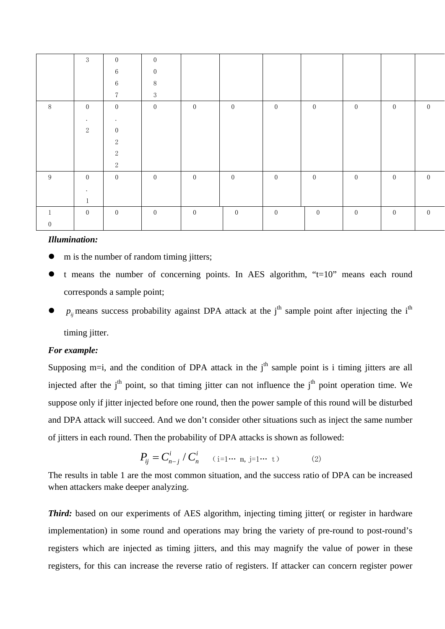|                  | $\mathfrak{Z}$   | $\mathbf{0}$     | $\boldsymbol{0}$ |                |                |                  |                |                |                |                |
|------------------|------------------|------------------|------------------|----------------|----------------|------------------|----------------|----------------|----------------|----------------|
|                  |                  | $6\,$            | $\boldsymbol{0}$ |                |                |                  |                |                |                |                |
|                  |                  | $6\phantom{.}6$  | $\, 8$           |                |                |                  |                |                |                |                |
|                  |                  | $\overline{7}$   | 3                |                |                |                  |                |                |                |                |
| 8                | $\boldsymbol{0}$ | $\overline{0}$   | $\overline{0}$   | $\overline{0}$ | $\overline{0}$ | $\overline{0}$   | $\overline{0}$ | $\overline{0}$ | $\overline{0}$ | $\overline{0}$ |
|                  | $\bullet$        | $\bullet$        |                  |                |                |                  |                |                |                |                |
|                  | 2                | $\boldsymbol{0}$ |                  |                |                |                  |                |                |                |                |
|                  |                  | 2                |                  |                |                |                  |                |                |                |                |
|                  |                  | $\boldsymbol{2}$ |                  |                |                |                  |                |                |                |                |
|                  |                  | $\sqrt{2}$       |                  |                |                |                  |                |                |                |                |
| 9                | $\boldsymbol{0}$ | $\overline{0}$   | $\boldsymbol{0}$ | $\overline{0}$ | $\overline{0}$ | $\boldsymbol{0}$ | $\overline{0}$ | $\overline{0}$ | $\overline{0}$ | $\overline{0}$ |
|                  | $\bullet$        |                  |                  |                |                |                  |                |                |                |                |
|                  | $\mathbf{1}$     |                  |                  |                |                |                  |                |                |                |                |
|                  | $\overline{0}$   | $\mathbf{0}$     | $\overline{0}$   | $\overline{0}$ | $\overline{0}$ | $\overline{0}$   | $\overline{0}$ | $\overline{0}$ | $\overline{0}$ | $\overline{0}$ |
| $\boldsymbol{0}$ |                  |                  |                  |                |                |                  |                |                |                |                |

#### *Illumination:*

- m is the number of random timing jitters;
- t means the number of concerning points. In AES algorithm, " $t=10$ " means each round corresponds a sample point;
- $p_{ii}$  means success probability against DPA attack at the j<sup>th</sup> sample point after injecting the i<sup>th</sup> timing jitter.

#### *For example:*

Supposing m=i, and the condition of DPA attack in the  $j<sup>th</sup>$  sample point is i timing jitters are all injected after the  $i<sup>th</sup>$  point, so that timing jitter can not influence the  $i<sup>th</sup>$  point operation time. We suppose only if jitter injected before one round, then the power sample of this round will be disturbed and DPA attack will succeed. And we don't consider other situations such as inject the same number of jitters in each round. Then the probability of DPA attacks is shown as followed:

$$
P_{ij} = C_{n-j}^i / C_n^i \quad (i=1 \cdots m, j=1 \cdots t)
$$
 (2)

The results in table 1 are the most common situation, and the success ratio of DPA can be increased when attackers make deeper analyzing.

*Third:* based on our experiments of AES algorithm, injecting timing jitter( or register in hardware implementation) in some round and operations may bring the variety of pre-round to post-round's registers which are injected as timing jitters, and this may magnify the value of power in these registers, for this can increase the reverse ratio of registers. If attacker can concern register power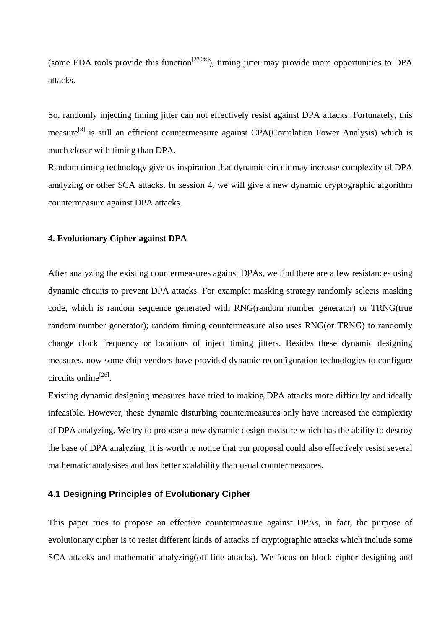(some EDA tools provide this function<sup>[27,28]</sup>), timing jitter may provide more opportunities to DPA attacks.

So, randomly injecting timing jitter can not effectively resist against DPA attacks. Fortunately, this measure<sup>[8]</sup> is still an efficient countermeasure against CPA(Correlation Power Analysis) which is much closer with timing than DPA.

Random timing technology give us inspiration that dynamic circuit may increase complexity of DPA analyzing or other SCA attacks. In session 4, we will give a new dynamic cryptographic algorithm countermeasure against DPA attacks.

#### **4. Evolutionary Cipher against DPA**

After analyzing the existing countermeasures against DPAs, we find there are a few resistances using dynamic circuits to prevent DPA attacks. For example: masking strategy randomly selects masking code, which is random sequence generated with RNG(random number generator) or TRNG(true random number generator); random timing countermeasure also uses RNG(or TRNG) to randomly change clock frequency or locations of inject timing jitters. Besides these dynamic designing measures, now some chip vendors have provided dynamic reconfiguration technologies to configure circuits online<sup>[26]</sup>.

Existing dynamic designing measures have tried to making DPA attacks more difficulty and ideally infeasible. However, these dynamic disturbing countermeasures only have increased the complexity of DPA analyzing. We try to propose a new dynamic design measure which has the ability to destroy the base of DPA analyzing. It is worth to notice that our proposal could also effectively resist several mathematic analysises and has better scalability than usual countermeasures.

## **4.1 Designing Principles of Evolutionary Cipher**

This paper tries to propose an effective countermeasure against DPAs, in fact, the purpose of evolutionary cipher is to resist different kinds of attacks of cryptographic attacks which include some SCA attacks and mathematic analyzing(off line attacks). We focus on block cipher designing and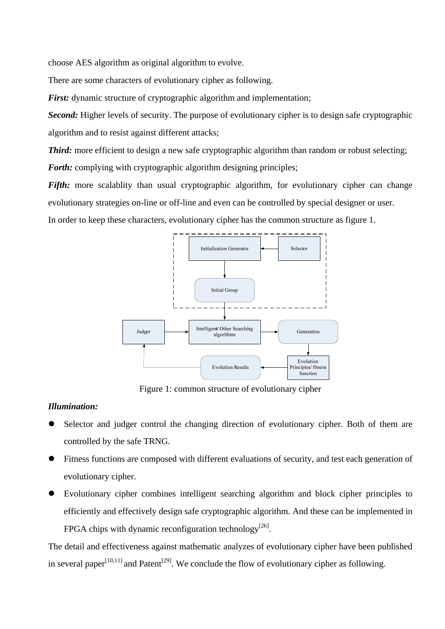choose AES algorithm as original algorithm to evolve.

There are some characters of evolutionary cipher as following.

*First:* dynamic structure of cryptographic algorithm and implementation;

*Second:* Higher levels of security. The purpose of evolutionary cipher is to design safe cryptographic algorithm and to resist against different attacks;

*Third:* more efficient to design a new safe cryptographic algorithm than random or robust selecting; *Forth:* complying with cryptographic algorithm designing principles;

*Fifth:* more scalablity than usual cryptographic algorithm, for evolutionary cipher can change evolutionary strategies on-line or off-line and even can be controlled by special designer or user.

In order to keep these characters, evolutionary cipher has the common structure as figure 1.



Figure 1: common structure of evolutionary cipher

## *Illumination:*

- Selector and judger control the changing direction of evolutionary cipher. Both of them are controlled by the safe TRNG.
- Fitness functions are composed with different evaluations of security, and test each generation of evolutionary cipher.
- Evolutionary cipher combines intelligent searching algorithm and block cipher principles to efficiently and effectively design safe cryptographic algorithm. And these can be implemented in FPGA chips with dynamic reconfiguration technology<sup>[26]</sup>.

The detail and effectiveness against mathematic analyzes of evolutionary cipher have been published in several paper<sup>[10,11]</sup> and Patent<sup>[29]</sup>. We conclude the flow of evolutionary cipher as following.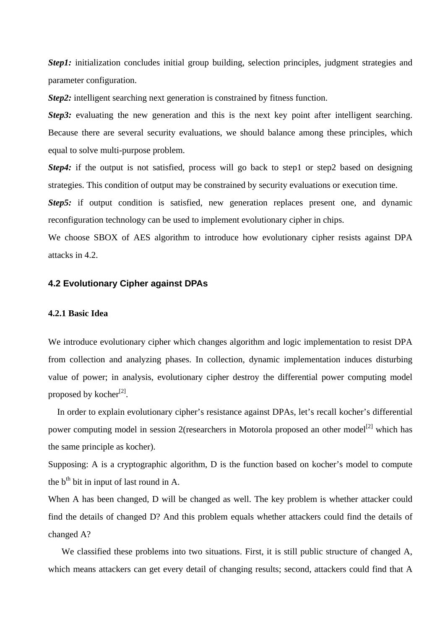*Step1*: initialization concludes initial group building, selection principles, judgment strategies and parameter configuration.

*Step2*: intelligent searching next generation is constrained by fitness function.

*Step3*: evaluating the new generation and this is the next key point after intelligent searching. Because there are several security evaluations, we should balance among these principles, which equal to solve multi-purpose problem.

*Step4*: if the output is not satisfied, process will go back to step1 or step2 based on designing strategies. This condition of output may be constrained by security evaluations or execution time.

**Step5:** if output condition is satisfied, new generation replaces present one, and dynamic reconfiguration technology can be used to implement evolutionary cipher in chips.

We choose SBOX of AES algorithm to introduce how evolutionary cipher resists against DPA attacks in 4.2.

# **4.2 Evolutionary Cipher against DPAs**

#### **4.2.1 Basic Idea**

We introduce evolutionary cipher which changes algorithm and logic implementation to resist DPA from collection and analyzing phases. In collection, dynamic implementation induces disturbing value of power; in analysis, evolutionary cipher destroy the differential power computing model proposed by kocher $^{[2]}$ .

In order to explain evolutionary cipher's resistance against DPAs, let's recall kocher's differential power computing model in session 2(researchers in Motorola proposed an other model<sup>[2]</sup> which has the same principle as kocher).

Supposing: A is a cryptographic algorithm, D is the function based on kocher's model to compute the  $b<sup>th</sup>$  bit in input of last round in A.

When A has been changed, D will be changed as well. The key problem is whether attacker could find the details of changed D? And this problem equals whether attackers could find the details of changed A?

We classified these problems into two situations. First, it is still public structure of changed A, which means attackers can get every detail of changing results; second, attackers could find that A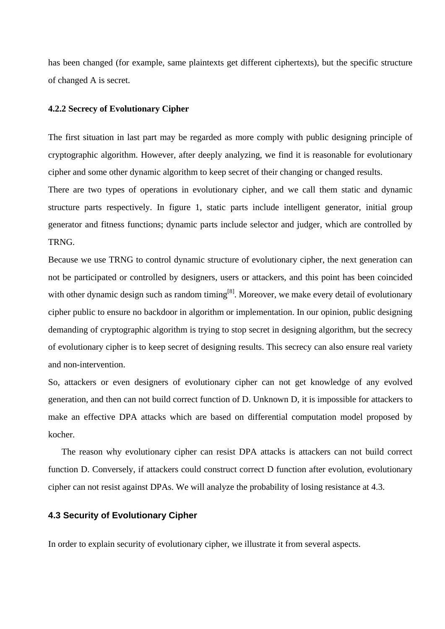has been changed (for example, same plaintexts get different ciphertexts), but the specific structure of changed A is secret.

#### **4.2.2 Secrecy of Evolutionary Cipher**

The first situation in last part may be regarded as more comply with public designing principle of cryptographic algorithm. However, after deeply analyzing, we find it is reasonable for evolutionary cipher and some other dynamic algorithm to keep secret of their changing or changed results.

There are two types of operations in evolutionary cipher, and we call them static and dynamic structure parts respectively. In figure 1, static parts include intelligent generator, initial group generator and fitness functions; dynamic parts include selector and judger, which are controlled by TRNG.

Because we use TRNG to control dynamic structure of evolutionary cipher, the next generation can not be participated or controlled by designers, users or attackers, and this point has been coincided with other dynamic design such as random timing<sup>[8]</sup>. Moreover, we make every detail of evolutionary cipher public to ensure no backdoor in algorithm or implementation. In our opinion, public designing demanding of cryptographic algorithm is trying to stop secret in designing algorithm, but the secrecy of evolutionary cipher is to keep secret of designing results. This secrecy can also ensure real variety and non-intervention.

So, attackers or even designers of evolutionary cipher can not get knowledge of any evolved generation, and then can not build correct function of D. Unknown D, it is impossible for attackers to make an effective DPA attacks which are based on differential computation model proposed by kocher.

The reason why evolutionary cipher can resist DPA attacks is attackers can not build correct function D. Conversely, if attackers could construct correct D function after evolution, evolutionary cipher can not resist against DPAs. We will analyze the probability of losing resistance at 4.3.

## **4.3 Security of Evolutionary Cipher**

In order to explain security of evolutionary cipher, we illustrate it from several aspects.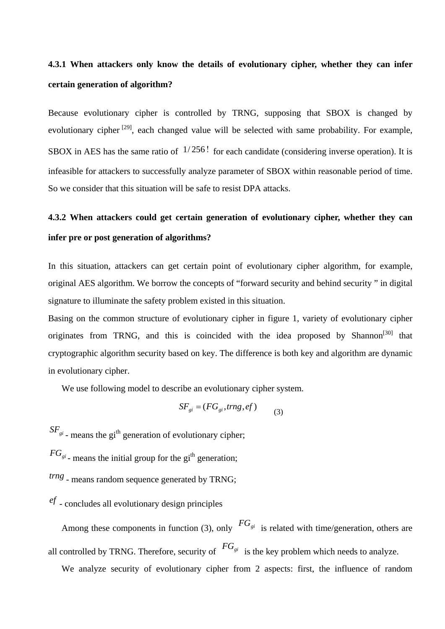# **4.3.1 When attackers only know the details of evolutionary cipher, whether they can infer certain generation of algorithm?**

Because evolutionary cipher is controlled by TRNG, supposing that SBOX is changed by evolutionary cipher  $[29]$ , each changed value will be selected with same probability. For example, SBOX in AES has the same ratio of  $1/256!$  for each candidate (considering inverse operation). It is infeasible for attackers to successfully analyze parameter of SBOX within reasonable period of time. So we consider that this situation will be safe to resist DPA attacks.

# **4.3.2 When attackers could get certain generation of evolutionary cipher, whether they can infer pre or post generation of algorithms?**

In this situation, attackers can get certain point of evolutionary cipher algorithm, for example, original AES algorithm. We borrow the concepts of "forward security and behind security " in digital signature to illuminate the safety problem existed in this situation.

Basing on the common structure of evolutionary cipher in figure 1, variety of evolutionary cipher originates from TRNG, and this is coincided with the idea proposed by Shannon<sup>[30]</sup> that cryptographic algorithm security based on key. The difference is both key and algorithm are dynamic in evolutionary cipher.

We use following model to describe an evolutionary cipher system.

$$
SF_{gi} = (FG_{gi}, \text{trng}, \text{ef})
$$
 (3)

 $SF<sub>gi</sub>$  - means the gi<sup>th</sup> generation of evolutionary cipher;

 $FG_{gi}$ <sub>-</sub> means the initial group for the gi<sup>th</sup> generation;

*trng* - means random sequence generated by TRNG;

*ef* - concludes all evolutionary design principles

Among these components in function (3), only  $FG_{gi}$  is related with time/generation, others are all controlled by TRNG. Therefore, security of  $FG_{gi}$  is the key problem which needs to analyze.

We analyze security of evolutionary cipher from 2 aspects: first, the influence of random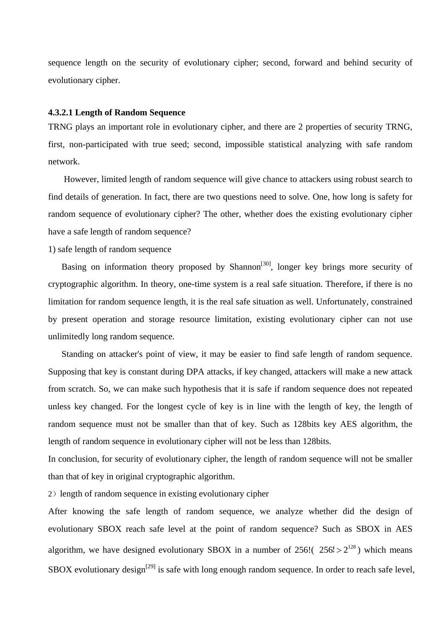sequence length on the security of evolutionary cipher; second, forward and behind security of evolutionary cipher.

#### **4.3.2.1 Length of Random Sequence**

TRNG plays an important role in evolutionary cipher, and there are 2 properties of security TRNG, first, non-participated with true seed; second, impossible statistical analyzing with safe random network.

 However, limited length of random sequence will give chance to attackers using robust search to find details of generation. In fact, there are two questions need to solve. One, how long is safety for random sequence of evolutionary cipher? The other, whether does the existing evolutionary cipher have a safe length of random sequence?

#### 1) safe length of random sequence

Basing on information theory proposed by Shannon<sup>[30]</sup>, longer key brings more security of cryptographic algorithm. In theory, one-time system is a real safe situation. Therefore, if there is no limitation for random sequence length, it is the real safe situation as well. Unfortunately, constrained by present operation and storage resource limitation, existing evolutionary cipher can not use unlimitedly long random sequence.

Standing on attacker's point of view, it may be easier to find safe length of random sequence. Supposing that key is constant during DPA attacks, if key changed, attackers will make a new attack from scratch. So, we can make such hypothesis that it is safe if random sequence does not repeated unless key changed. For the longest cycle of key is in line with the length of key, the length of random sequence must not be smaller than that of key. Such as 128bits key AES algorithm, the length of random sequence in evolutionary cipher will not be less than 128bits.

In conclusion, for security of evolutionary cipher, the length of random sequence will not be smaller than that of key in original cryptographic algorithm.

2) length of random sequence in existing evolutionary cipher

After knowing the safe length of random sequence, we analyze whether did the design of evolutionary SBOX reach safe level at the point of random sequence? Such as SBOX in AES algorithm, we have designed evolutionary SBOX in a number of  $256!$  ( $256! > 2^{128}$ ) which means SBOX evolutionary design<sup>[29]</sup> is safe with long enough random sequence. In order to reach safe level,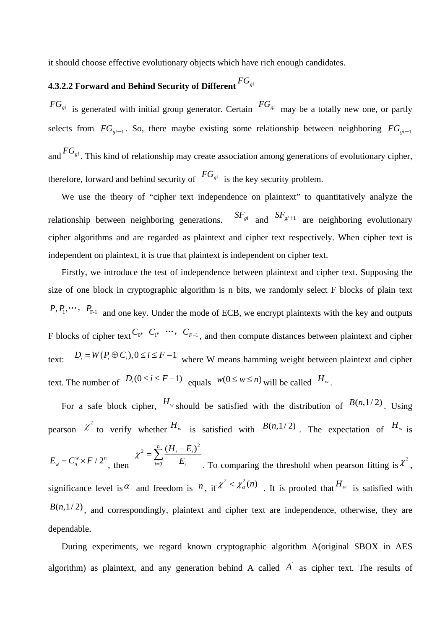it should choose effective evolutionary objects which have rich enough candidates.

# **4.3.2.2 Forward and Behind Security of Different** *FGgi*

 $FG_{gi}$  is generated with initial group generator. Certain  $FG_{gi}$  may be a totally new one, or partly and  $^{FG}_{gi}$ . This kind of relationship may create association among generations of evolutionary cipher, selects from  $FG_{gi-1}$ . So, there maybe existing some relationship between neighboring  $FG_{gi-1}$ therefore, forward and behind security of  $FG_{gi}$  is the key security problem.

We use the theory of "cipher text independence on plaintext" to quantitatively analyze the relationship between neighboring generations.  $S F_{gi}$  and  $S F_{gi+1}$  are neighboring evolutionary cipher algorithms and are regarded as plaintext and cipher text respectively. When cipher text is independent on plaintext, it is true that plaintext is independent on cipher text.

Firstly, we introduce the test of independence between plaintext and cipher text. Supposing the size of one block in cryptographic algorithm is n bits, we randomly select F blocks of plain text  $P, P_1, \cdots, P_{F-1}$  and one key. Under the mode of ECB, we encrypt plaintexts with the key and outputs F blocks of cipher text  $C_0$ ,  $C_1$ ,  $\cdots$ ,  $C_{F-1}$ , and then compute distances between plaintext and cipher text:  $D_i = W(P_i \oplus C_i), 0 \le i \le F-1$  where W means hamming weight between plaintext and cipher text. The number of  $D_i(0 \le i \le F-1)$  equals  $w(0 \le w \le n)$  will be called  $H_w$ .

For a safe block cipher,  $H_w$  should be satisfied with the distribution of  $B(n, 1/2)$ . Using pearson  $\chi^2$  to verify whether  $H_w$  is satisfied with  $B(n,1/2)$ . The expectation of  $H_w$  is  $E_w = C_n^w \times F / 2^n$ , then 2  $\sum_{i=1}^{n} (H_i - E_i)^2$  $\boldsymbol{0}$  $\sum_i^n (H_i - E_i)$  $i=0$   $L_i$  $\chi^2 = \sum_{i=1}^{n} \frac{(H_i - E_i)}{F_i}$  $=\sum_{i=0}^{n}\frac{(H_i - E_i)}{E_i}$ . To comparing the threshold when pearson fitting is  $\chi^2$ , significance level is  $\alpha$  and freedom is  $n$ , if  $\chi^2 < \chi^2_{\alpha}(n)$ . It is proofed that  $H_w$  is satisfied with  $B(n,1/2)$ , and correspondingly, plaintext and cipher text are independence, otherwise, they are dependable.

During experiments, we regard known cryptographic algorithm A(original SBOX in AES algorithm) as plaintext, and any generation behind A called  $\overrightarrow{A}$  as cipher text. The results of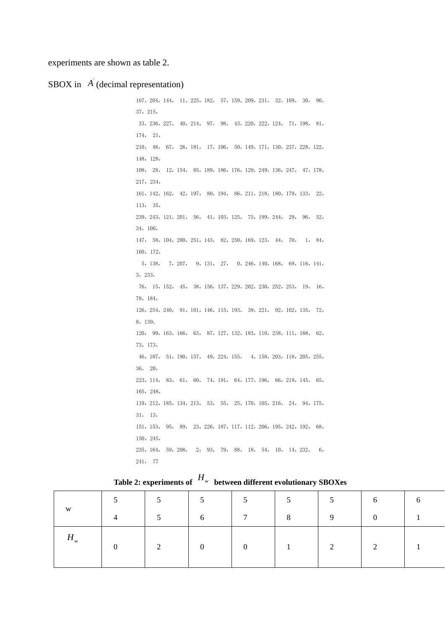experiments are shown as table 2.

#### SBOX in  $\overrightarrow{A}$  (decimal representation)

167,204,144, 11,225,182, 57,159,209,231, 32,109, 30, 90, 37,215, 33,236,227, 40,214, 97, 98, 43,220,222,124, 71,198, 81, 174, 21, 210, 48, 67, 26,181, 17,106, 50,149,171,130,237,228,122, 148,128, 108, 28, 12,154, 85,189,186,176,129,249,136,247, 47,178, 217,234, 161,142,162, 42,197, 80,194, 86,211,218,180,179,133, 22, 113, 35, 239,243,121,201, 56, 41,103,125, 75,199,244, 29, 96, 52, 34,100, 147, 58,104,200,251,143, 82,250,169,123, 44, 70, 1, 84, 160,172, 5,138, 7,207, 9,131, 27, 0,246,140,168, 69,116,141, 3,233, 76, 15,152, 45, 38,156,137,229,202,230,252,253, 19, 16, 78,184, 126,254,240, 91,101,146,115,193, 39,221, 92,102,135, 72, 8,139, 120, 99,163,166, 63, 87,127,132,183,110,238,111,188, 62, 73,173, 46,107, 51,190,157, 49,224,155, 4,158,203,118,205,255, 36, 20, 223,114, 83, 61, 60, 74,191, 64,177,196, 66,219,145, 65, 165,248, 119,212,185,134,213, 53, 55, 25,170,105,216, 24, 94,175, 31, 13, 151,153, 95, 89, 23,226,187,117,112,206,195,242,192, 68, 150,245, 235,164, 59,208, 2, 93, 79, 88, 18, 54, 10, 14,232, 6, 241, 77

Table 2: experiments of  $H_w$  between different evolutionary SBOXes

|         | 5              | ◡ | $\leq$<br>◡    | 5               | 5 <sup>5</sup> | 5  | 6        |  |
|---------|----------------|---|----------------|-----------------|----------------|----|----------|--|
| W       | $\overline{4}$ | 5 | 6              | $7\overline{ }$ | 8              | -9 | $\Omega$ |  |
| $H_{w}$ | $\theta$       | 2 | $\overline{0}$ | $\overline{0}$  |                | 2  | $\gamma$ |  |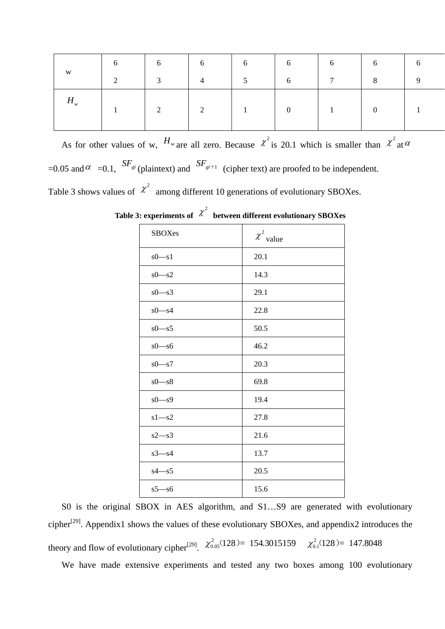|         | 6 | 6                       | 6              | 6              | 6              | 6               | 6              | 6 |
|---------|---|-------------------------|----------------|----------------|----------------|-----------------|----------------|---|
| W       | 2 | $\overline{\mathbf{3}}$ | $\overline{4}$ | 5 <sup>5</sup> | 6              | $7\overline{ }$ | 8              |   |
| $H_{w}$ |   | 2                       | 2              |                | $\overline{0}$ |                 | $\overline{0}$ |   |
|         |   |                         |                |                |                |                 |                |   |

As for other values of w,  $H_{w}$  are all zero. Because  $\chi^{2}$  is 20.1 which is smaller than  $\chi^{2}$  at  $\alpha$ =0.05 and  $\alpha$  =0.1,  $SF_{gi}$  (plaintext) and  $SF_{gi+1}$  (cipher text) are proofed to be independent. Table 3 shows values of  $\chi^2$  among different 10 generations of evolutionary SBOXes.

| <b>SBOXes</b> | $\chi^2$ value |
|---------------|----------------|
| $s0-s1$       | 20.1           |
| $s0-s2$       | 14.3           |
| $s0-s3$       | 29.1           |
| $s0-s4$       | 22.8           |
| $s0-s5$       | 50.5           |
| $s0-s6$       | 46.2           |
| $s0-s7$       | 20.3           |
| $s0-s8$       | 69.8           |
| $s0-s9$       | 19.4           |
| $s1 - s2$     | 27.8           |
| $s2-s3$       | 21.6           |
| $s3 - s4$     | 13.7           |
| $s4 - s5$     | 20.5           |
| $s5 - s6$     | 15.6           |

Table 3: experiments of  $\chi^2$  between different evolutionary SBOXes

S0 is the original SBOX in AES algorithm, and S1...S9 are generated with evolutionary cipher[29]. Appendix1 shows the values of these evolutionary SBOXes, and appendix2 introduces the theory and flow of evolutionary cipher<sup>[29]</sup>,  $\chi^{2}_{0.05}(128) = 154.3015159$   $\chi^{2}_{0.1}(128) = 147.8048$ 

We have made extensive experiments and tested any two boxes among 100 evolutionary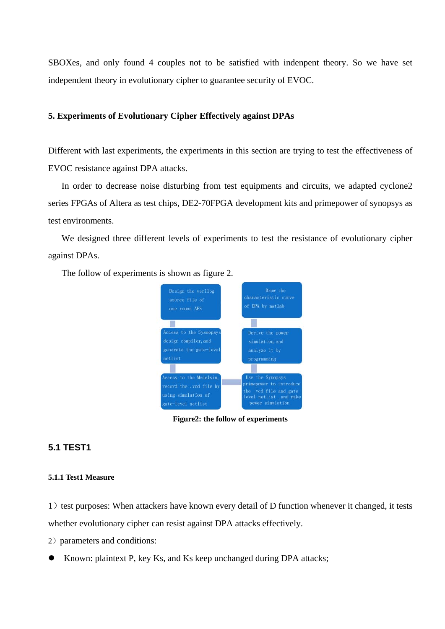SBOXes, and only found 4 couples not to be satisfied with indenpent theory. So we have set independent theory in evolutionary cipher to guarantee security of EVOC.

#### **5. Experiments of Evolutionary Cipher Effectively against DPAs**

Different with last experiments, the experiments in this section are trying to test the effectiveness of EVOC resistance against DPA attacks.

In order to decrease noise disturbing from test equipments and circuits, we adapted cyclone2 series FPGAs of Altera as test chips, DE2-70FPGA development kits and primepower of synopsys as test environments.

We designed three different levels of experiments to test the resistance of evolutionary cipher against DPAs.

The follow of experiments is shown as figure 2.



**Figure2: the follow of experiments** 

# **5.1 TEST1**

#### **5.1.1 Test1 Measure**

1) test purposes: When attackers have known every detail of D function whenever it changed, it tests whether evolutionary cipher can resist against DPA attacks effectively.

- 2) parameters and conditions:
- Known: plaintext P, key Ks, and Ks keep unchanged during DPA attacks;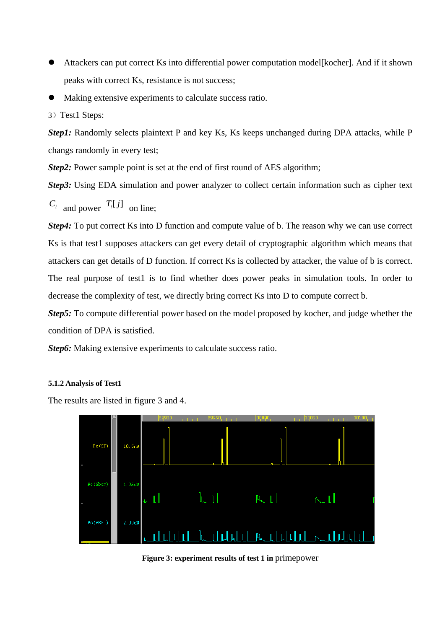- Attackers can put correct Ks into differential power computation model[kocher]. And if it shown peaks with correct Ks, resistance is not success;
- Making extensive experiments to calculate success ratio.
- 3) Test1 Steps:

*Step1*: Randomly selects plaintext P and key Ks, Ks keeps unchanged during DPA attacks, while P changs randomly in every test;

*Step2*: Power sample point is set at the end of first round of AES algorithm;

*Step3:* Using EDA simulation and power analyzer to collect certain information such as cipher text

 $C_i$  and power  $T_i[j]$  on line;

*Step4*: To put correct Ks into D function and compute value of b. The reason why we can use correct Ks is that test1 supposes attackers can get every detail of cryptographic algorithm which means that attackers can get details of D function. If correct Ks is collected by attacker, the value of b is correct. The real purpose of test1 is to find whether does power peaks in simulation tools. In order to decrease the complexity of test, we directly bring correct Ks into D to compute correct b.

*Step5:* To compute differential power based on the model proposed by kocher, and judge whether the condition of DPA is satisfied.

*Step6:* Making extensive experiments to calculate success ratio.

#### **5.1.2 Analysis of Test1**

The results are listed in figure 3 and 4.



**Figure 3: experiment results of test 1 in** primepower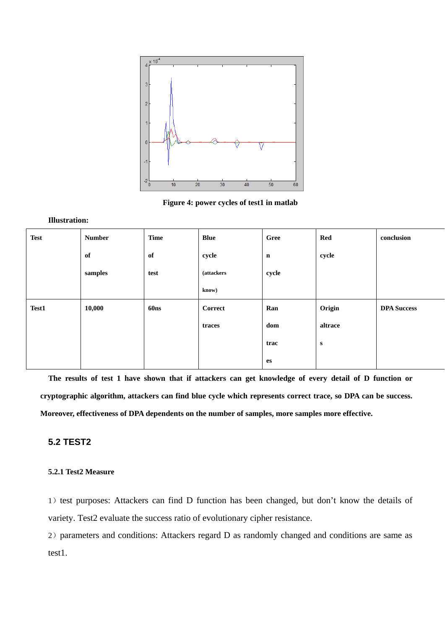

**Figure 4: power cycles of test1 in matlab** 

#### **Illustration:**

| <b>Test</b> | <b>Number</b> | <b>Time</b>      | <b>Blue</b>        | Gree        | Red       | conclusion         |
|-------------|---------------|------------------|--------------------|-------------|-----------|--------------------|
|             | of            | of               | cycle              | $\mathbf n$ | cycle     |                    |
|             | samples       | test             | <i>(attackers)</i> | cycle       |           |                    |
|             |               |                  | know)              |             |           |                    |
| Test1       | 10,000        | 60 <sub>ns</sub> | Correct            | Ran         | Origin    | <b>DPA Success</b> |
|             |               |                  | traces             | dom         | altrace   |                    |
|             |               |                  |                    | trac        | ${\bf S}$ |                    |
|             |               |                  |                    | es          |           |                    |

 **The results of test 1 have shown that if attackers can get knowledge of every detail of D function or cryptographic algorithm, attackers can find blue cycle which represents correct trace, so DPA can be success. Moreover, effectiveness of DPA dependents on the number of samples, more samples more effective.** 

# **5.2 TEST2**

#### **5.2.1 Test2 Measure**

1) test purposes: Attackers can find D function has been changed, but don't know the details of variety. Test2 evaluate the success ratio of evolutionary cipher resistance.

2) parameters and conditions: Attackers regard D as randomly changed and conditions are same as test1.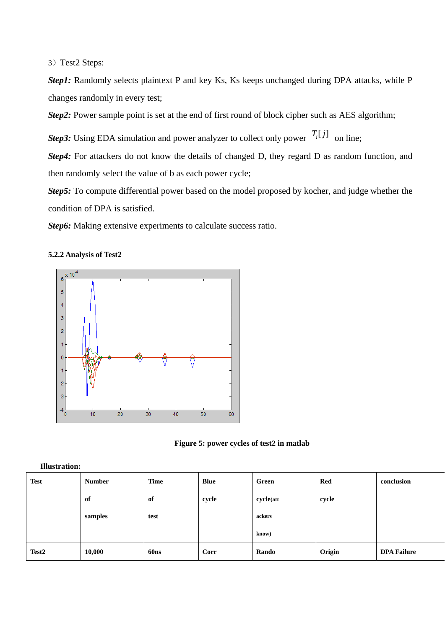3) Test2 Steps:

*Step1*: Randomly selects plaintext P and key Ks, Ks keeps unchanged during DPA attacks, while P changes randomly in every test;

*Step2*: Power sample point is set at the end of first round of block cipher such as AES algorithm;

*Step3:* Using EDA simulation and power analyzer to collect only power  $T_i[j]$  on line:

*Step4*: For attackers do not know the details of changed D, they regard D as random function, and then randomly select the value of b as each power cycle;

*Step5:* To compute differential power based on the model proposed by kocher, and judge whether the condition of DPA is satisfied.

**Step6:** Making extensive experiments to calculate success ratio.







| <b>Test</b>       | <b>Number</b> | <b>Time</b>      | <b>Blue</b> | Green     | Red    | conclusion         |
|-------------------|---------------|------------------|-------------|-----------|--------|--------------------|
|                   | of            | of               | cycle       | cycle(att | cycle  |                    |
|                   | samples       | test             |             | ackers    |        |                    |
|                   |               |                  |             | know)     |        |                    |
| Test <sub>2</sub> | 10,000        | 60 <sub>ns</sub> | Corr        | Rando     | Origin | <b>DPA Failure</b> |

#### **Illustration:**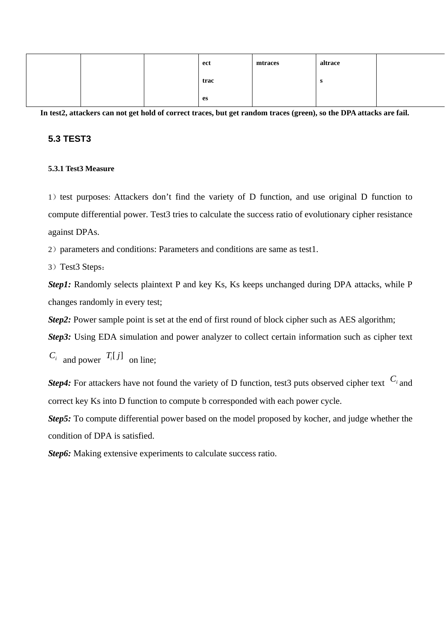|  |  | ect  | mtraces | altrace |  |
|--|--|------|---------|---------|--|
|  |  | trac |         | s       |  |
|  |  | es   |         |         |  |

**In test2, attackers can not get hold of correct traces, but get random traces (green), so the DPA attacks are fail.** 

## **5.3 TEST3**

### **5.3.1 Test3 Measure**

1) test purposes: Attackers don't find the variety of D function, and use original D function to compute differential power. Test3 tries to calculate the success ratio of evolutionary cipher resistance against DPAs.

2) parameters and conditions: Parameters and conditions are same as test1.

3) Test3 Steps:

*Step1*: Randomly selects plaintext P and key Ks, Ks keeps unchanged during DPA attacks, while P changes randomly in every test;

*Step2*: Power sample point is set at the end of first round of block cipher such as AES algorithm;

*Step3:* Using EDA simulation and power analyzer to collect certain information such as cipher text

 $C_i$  and power  $T_i[j]$  on line;

*Step4*: For attackers have not found the variety of D function, test3 puts observed cipher text  $C_i$  and correct key Ks into D function to compute b corresponded with each power cycle.

*Step5:* To compute differential power based on the model proposed by kocher, and judge whether the condition of DPA is satisfied.

*Step6:* Making extensive experiments to calculate success ratio.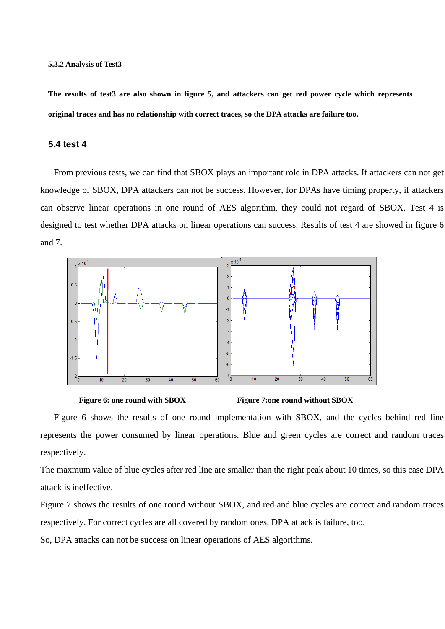**The results of test3 are also shown in figure 5, and attackers can get red power cycle which represents original traces and has no relationship with correct traces, so the DPA attacks are failure too.**

#### **5.4 test 4**

From previous tests, we can find that SBOX plays an important role in DPA attacks. If attackers can not get knowledge of SBOX, DPA attackers can not be success. However, for DPAs have timing property, if attackers can observe linear operations in one round of AES algorithm, they could not regard of SBOX. Test 4 is designed to test whether DPA attacks on linear operations can success. Results of test 4 are showed in figure 6 and 7.





represents the power consumed by linear operations. Blue and green cycles are correct and random traces Figure 6 shows the results of one round implementation with SBOX, and the cycles behind red line respectively.

The maxmum value of blue cycles after red line are smaller than the right peak about 10 times, so this case DPA attack is ineffective.

Figure 7 shows the results of one round without SBOX, and red and blue cycles are correct and random traces respectively. For correct cycles are all covered by random ones, DPA attack is failure, too.

So, DPA attacks can not be success on linear operations of AES algorithms.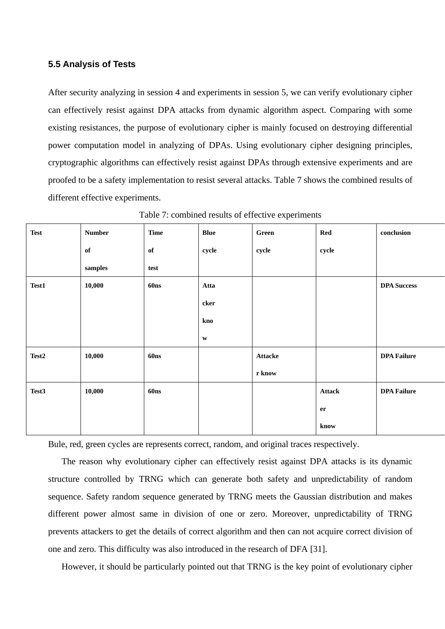## **5.5 Analysis of Tests**

After security analyzing in session 4 and experiments in session 5, we can verify evolutionary cipher can effectively resist against DPA attacks from dynamic algorithm aspect. Comparing with some existing resistances, the purpose of evolutionary cipher is mainly focused on destroying differential power computation model in analyzing of DPAs. Using evolutionary cipher designing principles, cryptographic algorithms can effectively resist against DPAs through extensive experiments and are proofed to be a safety implementation to resist several attacks. Table 7 shows the combined results of different effective experiments.

| <b>Test</b>       | <b>Number</b> | <b>Time</b> | <b>Blue</b>  | Green   | <b>Red</b>    | conclusion         |
|-------------------|---------------|-------------|--------------|---------|---------------|--------------------|
|                   | of            | of          | cycle        | cycle   | cycle         |                    |
|                   | samples       | test        |              |         |               |                    |
| Test1             | 10,000        | <b>60ns</b> | Atta         |         |               | <b>DPA Success</b> |
|                   |               |             | cker         |         |               |                    |
|                   |               |             | kno          |         |               |                    |
|                   |               |             | $\mathbf{W}$ |         |               |                    |
| Test <sub>2</sub> | 10,000        | <b>60ns</b> |              | Attacke |               | <b>DPA Failure</b> |
|                   |               |             |              | r know  |               |                    |
| Test3             | 10,000        | <b>60ns</b> |              |         | <b>Attack</b> | <b>DPA Failure</b> |
|                   |               |             |              |         | er            |                    |
|                   |               |             |              |         | know          |                    |

Table 7: combined results of effective experiments

Bule, red, green cycles are represents correct, random, and original traces respectively.

The reason why evolutionary cipher can effectively resist against DPA attacks is its dynamic structure controlled by TRNG which can generate both safety and unpredictability of random sequence. Safety random sequence generated by TRNG meets the Gaussian distribution and makes different power almost same in division of one or zero. Moreover, unpredictability of TRNG prevents attackers to get the details of correct algorithm and then can not acquire correct division of one and zero. This difficulty was also introduced in the research of DFA [31].

However, it should be particularly pointed out that TRNG is the key point of evolutionary cipher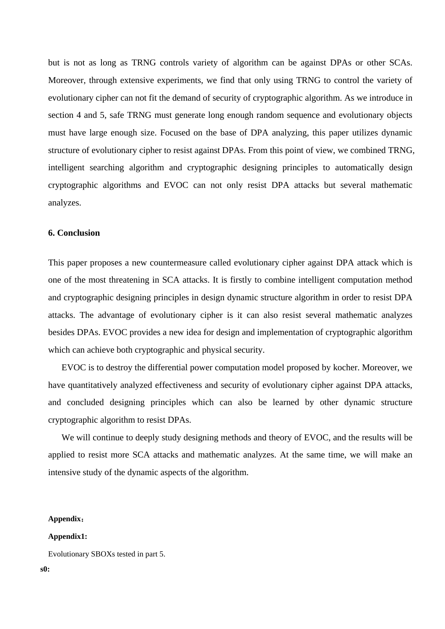but is not as long as TRNG controls variety of algorithm can be against DPAs or other SCAs. Moreover, through extensive experiments, we find that only using TRNG to control the variety of evolutionary cipher can not fit the demand of security of cryptographic algorithm. As we introduce in section 4 and 5, safe TRNG must generate long enough random sequence and evolutionary objects must have large enough size. Focused on the base of DPA analyzing, this paper utilizes dynamic structure of evolutionary cipher to resist against DPAs. From this point of view, we combined TRNG, intelligent searching algorithm and cryptographic designing principles to automatically design cryptographic algorithms and EVOC can not only resist DPA attacks but several mathematic analyzes.

#### **6. Conclusion**

This paper proposes a new countermeasure called evolutionary cipher against DPA attack which is one of the most threatening in SCA attacks. It is firstly to combine intelligent computation method and cryptographic designing principles in design dynamic structure algorithm in order to resist DPA attacks. The advantage of evolutionary cipher is it can also resist several mathematic analyzes besides DPAs. EVOC provides a new idea for design and implementation of cryptographic algorithm which can achieve both cryptographic and physical security.

EVOC is to destroy the differential power computation model proposed by kocher. Moreover, we have quantitatively analyzed effectiveness and security of evolutionary cipher against DPA attacks, and concluded designing principles which can also be learned by other dynamic structure cryptographic algorithm to resist DPAs.

We will continue to deeply study designing methods and theory of EVOC, and the results will be applied to resist more SCA attacks and mathematic analyzes. At the same time, we will make an intensive study of the dynamic aspects of the algorithm.

## **Appendix**:

#### **Appendix1:**

Evolutionary SBOXs tested in part 5.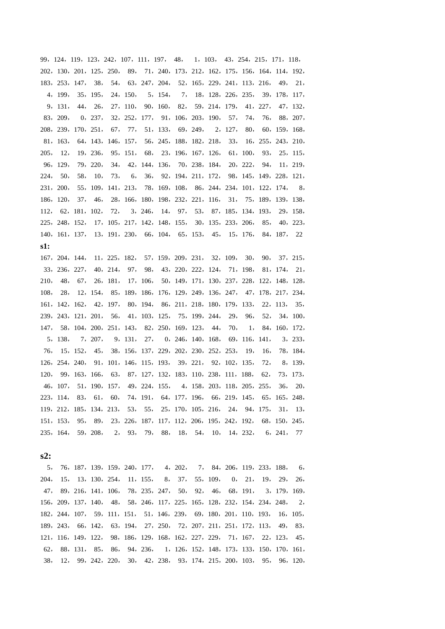,124,119,123,242,107,111,197, 48, 1,103, 43,254,215,171,118, ,130,201,125,250, 89, 71,240,173,212,162,175,156,164,114,192, ,253,147, 38, 54, 63,247,204, 52,165,229,241,113,216, 49, 21, ,199, 35,195, 24,150, 5,154, 7, 18,128,226,235, 39,178,117, ,131, 44, 26, 27,110, 90,160, 82, 59,214,179, 41,227, 47,132, ,209, 0,237, 32,252,177, 91,106,203,190, 57, 74, 76, 88,207, ,239,170,251, 67, 77, 51,133, 69,249, 2,127, 80, 60,159,168, ,163, 64,143,146,157, 56,245,188,182,218, 33, 16,255,243,210, , 12, 19,236, 95,151, 68, 23,196,167,126, 61,100, 93, 25,115, ,129, 79,220, 34, 42,144,136, 70,238,184, 20,222, 94, 11,219, , 50, 58, 10, 73, 6, 36, 92,194,211,172, 98,145,149,228,121, ,200, 55,109,141,213, 78,169,108, 86,244,234,101,122,174, 8, ,120, 37, 46, 28,166,180,198,232,221,116, 31, 75,189,139,138, , 62,181,102, 72, 3,246, 14, 97, 53, 87,185,134,193, 29,158, ,248,152, 17,105,217,142,148,155, 30,135,233,206, 85, 40,223, ,161,137, 13,191,230, 66,104, 65,153, 45, 15,176, 84,187, 22 **s1:** 

,204,144, 11,225,182, 57,159,209,231, 32,109, 30, 90, 37,215, ,236,227, 40,214, 97, 98, 43,220,222,124, 71,198, 81,174, 21, , 48, 67, 26,181, 17,106, 50,149,171,130,237,228,122,148,128, , 28, 12,154, 85,189,186,176,129,249,136,247, 47,178,217,234, ,142,162, 42,197, 80,194, 86,211,218,180,179,133, 22,113, 35, ,243,121,201, 56, 41,103,125, 75,199,244, 29, 96, 52, 34,100, , 58,104,200,251,143, 82,250,169,123, 44, 70, 1, 84,160,172, ,138, 7,207, 9,131, 27, 0,246,140,168, 69,116,141, 3,233, , 15,152, 45, 38,156,137,229,202,230,252,253, 19, 16, 78,184, ,254,240, 91,101,146,115,193, 39,221, 92,102,135, 72, 8,139, , 99,163,166, 63, 87,127,132,183,110,238,111,188, 62, 73,173, ,107, 51,190,157, 49,224,155, 4,158,203,118,205,255, 36, 20, ,114, 83, 61, 60, 74,191, 64,177,196, 66,219,145, 65,165,248, ,212,185,134,213, 53, 55, 25,170,105,216, 24, 94,175, 31, 13, ,153, 95, 89, 23,226,187,117,112,206,195,242,192, 68,150,245, ,164, 59,208, 2, 93, 79, 88, 18, 54, 10, 14,232, 6,241, 77

#### **s2:**

, 76,187,139,159,240,177, 4,202, 7, 84,206,119,233,188, 6, , 15, 13,130,254, 11,155, 8, 37, 55,109, 0, 21, 19, 29, 26, , 89,216,141,106, 78,235,247, 50, 92, 46, 68,191, 3,179,169, ,209,137,140, 48, 58,246,117,225,165,128,232,154,234,248, 2, ,244,107, 59,111,151, 51,146,239, 69,180,201,110,193, 16,105, ,243, 66,142, 63,194, 27,250, 72,207,211,251,172,113, 49, 83, ,116,149,122, 98,186,129,168,162,227,229, 71,167, 22,123, 45, , 88,131, 85, 86, 94,236, 1,126,152,148,173,133,150,170,161, , 12, 99,242,220, 30, 42,238, 93,174,215,200,103, 95, 96,120,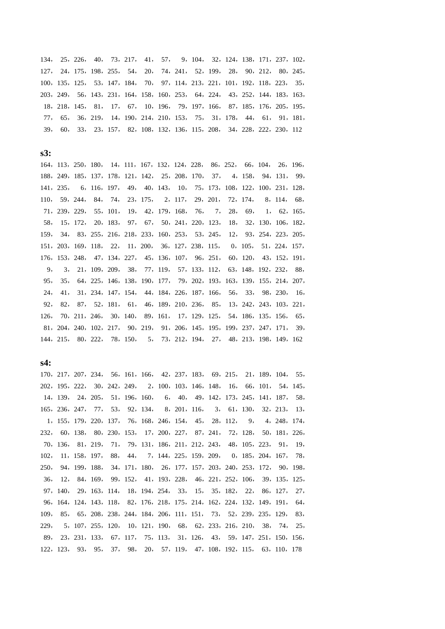, 25,226, 40, 73,217, 41, 57, 9,104, 32,124,138,171,237,102, , 24,175,198,255, 54, 20, 74,241, 52,199, 28, 90,212, 80,245, ,135,125, 53,147,184, 70, 97,114,213,221,101,192,118,223, 35, ,249, 56,143,231,164,158,160,253, 64,224, 43,252,144,183,163, ,218,145, 81, 17, 67, 10,196, 79,197,166, 87,185,176,205,195, , 65, 36,219, 14,190,214,210,153, 75, 31,178, 44, 61, 91,181, , 60, 33, 23,157, 82,108,132,136,115,208, 34,228,222,230,112

**s3:** 

,113,250,180, 14,111,167,132,124,228, 86,252, 66,104, 26,196, ,249,185,137,178,121,142, 25,208,170, 37, 4,158, 94,131, 99, ,235, 6,116,197, 49, 40,143, 10, 75,173,108,122,100,231,128, , 59,244, 84, 74, 23,175, 2,117, 29,201, 72,174, 8,114, 68, ,239,229, 55,101, 19, 42,179,168, 76, 7, 28, 69, 1, 62,165, , 15,172, 20,183, 97, 67, 50,241,220,123, 18, 32,130,106,182, , 34, 83,255,216,218,233,160,253, 53,245, 12, 93,254,223,205, ,203,169,118, 22, 11,200, 36,127,238,115, 0,105, 51,224,157, ,153,248, 47,134,227, 45,136,107, 96,251, 60,120, 43,152,191, , 3, 21,109,209, 38, 77,119, 57,133,112, 63,148,192,232, 88, , 35, 64,225,146,138,190,177, 79,202,193,163,139,155,214,207, , 41, 31,234,147,154, 44,184,226,187,166, 56, 33, 98,230, 16, , 82, 87, 52,181, 61, 46,189,210,236, 85, 13,242,243,103,221, , 70,211,246, 30,140, 89,161, 17,129,125, 54,186,135,156, 65, ,204,240,102,217, 90,219, 91,206,145,195,199,237,247,171, 39, ,215, 80,222, 78,150, 5, 73,212,194, 27, 48,213,198,149,162

**s4:** 

,217,207,234, 56,161,166, 42,237,183, 69,215, 21,189,104, 55, ,195,222, 30,242,249, 2,100,103,146,148, 16, 66,101, 54,145, ,139, 24,205, 51,196,160, 6, 40, 49,142,173,245,141,187, 58, ,236,247, 77, 53, 92,134, 8,201,116, 3, 61,130, 32,213, 13, ,155,179,220,137, 76,168,246,154, 45, 28,112, 9, 4,248,174, , 60,138, 80,230,153, 17,200,227, 87,241, 72,128, 50,181,226, ,136, 81,219, 71, 79,131,186,211,212,243, 48,105,223, 91, 19, , 11,158,197, 88, 44, 7,144,225,159,209, 0,185,204,167, 78, , 94,199,188, 34,171,180, 26,177,157,203,240,253,172, 90,198, , 12, 84,169, 99,152, 41,193,228, 46,221,252,106, 39,135,125, ,140, 29,163,114, 18,194,254, 33, 15, 35,182, 22, 86,127, 27, ,164,124,143,118, 82,176,218,175,214,162,224,132,149,191, 64, , 85, 65,208,238,244,184,206,111,151, 73, 52,239,235,129, 83, , 5,107,255,120, 10,121,190, 68, 62,233,216,210, 38, 74, 25, , 23,231,133, 67,117, 75,113, 31,126, 43, 59,147,251,150,156, ,123, 93, 95, 37, 98, 20, 57,119, 47,108,192,115, 63,110,178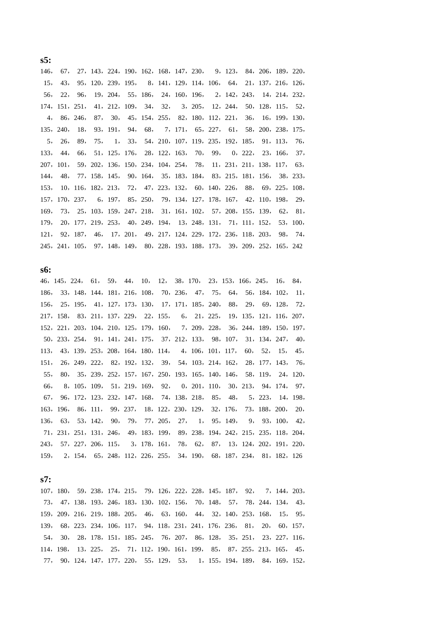, 67, 27,143,224,190,162,168,147,230, 9,123, 84,206,189,220, , 43, 95,120,239,195, 8,141,129,114,106, 64, 21,137,216,126, , 22, 96, 19,204, 55,186, 24,160,196, 2,142,243, 14,214,232, ,151,251, 41,212,109, 34, 32, 3,205, 12,244, 50,128,115, 52, , 86,246, 87, 30, 45,154,255, 82,180,112,221, 36, 16,199,130, ,240, 18, 93,191, 94, 68, 7,171, 65,227, 61, 58,200,238,175, , 26, 89, 75, 1, 33, 54,210,107,119,235,192,185, 91,113, 76, , 44, 66, 51,125,176, 28,122,163, 70, 99, 0,222, 23,166, 37, ,101, 59,202,136,150,234,104,254, 78, 11,231,211,138,117, 63, , 48, 77,158,145, 90,164, 35,183,184, 83,215,181,156, 38,233, , 10,116,182,213, 72, 47,223,132, 60,140,226, 88, 69,225,108, ,170,237, 6,197, 85,250, 79,134,127,178,167, 42,110,198, 29, , 73, 25,103,159,247,218, 31,161,102, 57,208,155,139, 62, 81, , 20,177,219,253, 40,249,194, 13,248,131, 71,111,152, 53,100, , 92,187, 46, 17,201, 49,217,124,229,172,236,118,203, 98, 74, ,241,105, 97,148,149, 80,228,193,188,173, 39,209,252,165,242

**s6:** 

,145,224, 61, 59, 44, 10, 12, 38,170, 23,153,166,245, 16, 84, , 33,148,144,181,216,108, 70,236, 47, 75, 64, 56,184,102, 11, , 25,195, 41,127,173,130, 17,171,185,240, 88, 29, 69,128, 72, ,158, 83,211,137,229, 22,155, 6, 21,225, 19,135,121,116,207, ,221,203,104,210,125,179,160, 7,209,228, 36,244,189,150,197, ,233,254, 91,141,241,175, 37,212,133, 98,107, 31,134,247, 40, , 43,139,253,208,164,180,114, 4,106,101,117, 60, 52, 15, 45, , 26,249,222, 82,192,132, 39, 54,103,214,162, 28,177,143, 76, , 80, 35,239,252,157,167,250,193,165,140,146, 58,119, 24,120, , 8,105,109, 51,219,169, 92, 0,201,110, 30,213, 94,174, 97, , 96,172,123,232,147,168, 74,138,218, 85, 48, 5,223, 14,198, ,196, 86,111, 99,237, 18,122,230,129, 32,176, 73,188,200, 20, , 63, 53,142, 90, 79, 77,205, 27, 1, 95,149, 9, 93,100, 42, ,231,251,131,246, 49,183,199, 89,238,194,242,215,235,118,204, , 57,227,206,115, 3,178,161, 78, 62, 87, 13,124,202,191,220, , 2,154, 65,248,112,226,255, 34,190, 68,187,234, 81,182,126

**s7:** 

,180, 59,238,174,215, 79,126,222,228,145,187, 92, 7,144,203, , 47,138,193,246,183,130,102,156, 70,148, 57, 78,244,134, 43, ,209,216,219,188,205, 46, 63,160, 44, 32,140,253,168, 15, 95, , 68,223,234,106,117, 94,118,231,241,176,236, 81, 20, 60,157, , 30, 28,178,151,185,245, 76,207, 86,128, 35,251, 23,227,116, ,198, 13,225, 25, 71,112,190,161,199, 85, 87,255,213,165, 45, , 90,124,147,177,220, 55,129, 53, 1,155,194,189, 84,169,152,

**s5:**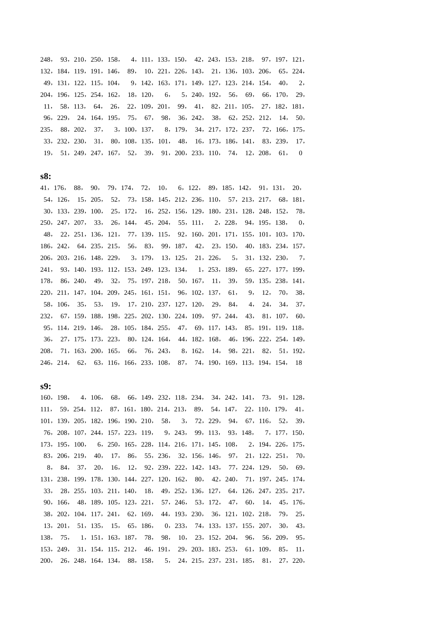, 93,210,250,158, 4,111,133,150, 42,243,153,218, 97,197,121, ,184,119,191,146, 89, 10,221,226,143, 21,136,103,206, 65,224, ,131,122,115,104, 9,142,163,171,149,127,123,214,154, 40, 2, ,196,125,254,162, 18,120, 6, 5,240,192, 56, 69, 66,170, 29, , 58,113, 64, 26, 22,109,201, 99, 41, 82,211,105, 27,182,181, ,229, 24,164,195, 75, 67, 98, 36,242, 38, 62,252,212, 14, 50, , 88,202, 37, 3,100,137, 8,179, 34,217,172,237, 72,166,175, ,232,230, 31, 80,108,135,101, 48, 16,173,186,141, 83,239, 17, , 51,249,247,167, 52, 39, 91,200,233,110, 74, 12,208, 61, 0

**s8:** 

,176, 88, 90, 79,174, 72, 10, 6,122, 89,185,142, 91,131, 20, ,126, 15,205, 52, 73,158,145,212,236,110, 57,213,217, 68,181, ,133,239,100, 25,172, 16,252,156,129,180,231,128,248,152, 78, ,247,207, 33, 26,144, 45,204, 55,111, 2,228, 94,195,138, 0, , 22,251,136,121, 77,139,115, 92,160,201,171,155,101,103,170, ,242, 64,235,215, 56, 83, 99,187, 42, 23,150, 40,183,234,157, ,203,216,148,229, 3,179, 13,125, 21,226, 5, 31,132,230, 7, , 93,140,193,112,153,249,123,134, 1,253,189, 65,227,177,199, , 86,240, 49, 32, 75,197,218, 50,167, 11, 39, 59,135,238,141, ,211,147,104,209,245,161,151, 96,102,137, 61, 9, 12, 70, 38, ,106, 35, 53, 19, 17,210,237,127,120, 29, 84, 4, 24, 34, 37, , 67,159,188,198,225,202,130,224,109, 97,244, 43, 81,107, 60, ,114,219,146, 28,105,184,255, 47, 69,117,143, 85,191,119,118, , 27,175,173,223, 80,124,164, 44,182,168, 46,196,222,254,149, , 71,163,200,165, 66, 76,243, 8,162, 14, 98,221, 82, 51,192, ,214, 62, 63,116,166,233,108, 87, 74,190,169,113,194,154, 18

**s9:** 

,198, 4,106, 68, 66,149,232,118,234, 34,242,141, 73, 91,128, , 59,254,112, 87,161,180,214,213, 89, 54,147, 22,110,179, 41, ,139,205,182,196,190,210, 58, 3, 72,229, 94, 67,116, 52, 39, ,208,107,244,157,223,119, 9,243, 99,113, 93,148, 7,177,150, ,195,100, 6,250,165,228,114,216,171,145,108, 2,194,226,175, ,206,219, 40, 17, 86, 55,236, 32,156,146, 97, 21,122,251, 70, , 84, 37, 20, 16, 12, 92,239,222,142,143, 77,224,129, 50, 69, ,238,199,178,130,144,227,120,162, 80, 42,240, 71,197,245,174, , 28,255,103,211,140, 18, 49,252,136,127, 64,126,247,235,217, ,166, 48,189,105,123,221, 57,246, 53,172, 47, 60, 14, 45,176, ,202,104,117,241, 62,169, 44,193,230, 36,121,102,218, 79, 25, ,201, 51,135, 15, 65,186, 0,233, 74,133,137,155,207, 30, 43, , 75, 1,151,163,187, 78, 98, 10, 23,152,204, 96, 56,209, 95, ,249, 31,154,115,212, 46,191, 29,203,183,253, 61,109, 85, 11, , 26,248,164,134, 88,158, 5, 24,215,237,231,185, 81, 27,220,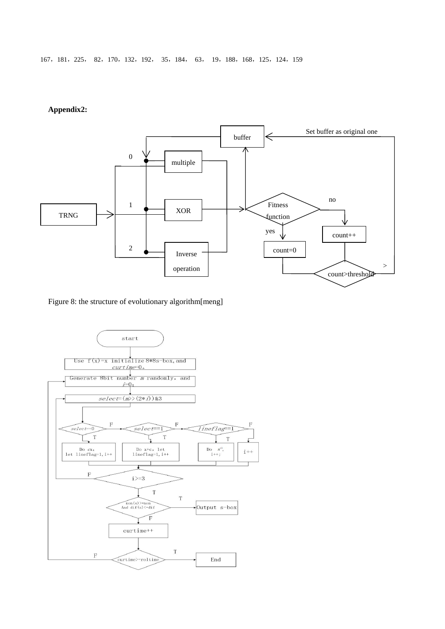167,181,225, 82,170,132,192, 35,184, 63, 19,188,168,125,124,159

#### **Appendix2:**



Figure 8: the structure of evolutionary algorithm[meng]

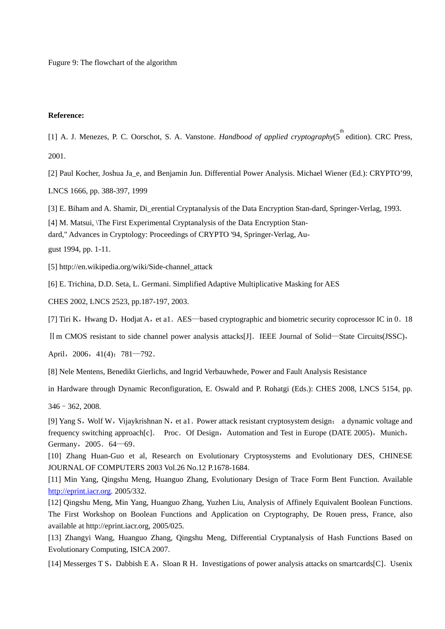Fugure 9: The flowchart of the algorithm

#### **Reference:**

[1] A. J. Menezes, P. C. Oorschot, S. A. Vanstone. *Handbood of applied cryptography*(5<sup>th</sup> edition). CRC Press, 2001.

[2] Paul Kocher, Joshua Ja e, and Benjamin Jun. Differential Power Analysis. Michael Wiener (Ed.): CRYPTO'99, LNCS 1666, pp. 388-397, 1999

[3] E. Biham and A. Shamir, Di\_erential Cryptanalysis of the Data Encryption Stan-dard, Springer-Verlag, 1993.

[4] M. Matsui, \The First Experimental Cryptanalysis of the Data Encryption Stan-

dard," Advances in Cryptology: Proceedings of CRYPTO '94, Springer-Verlag, Au-

gust 1994, pp. 1-11.

[5] http://en.wikipedia.org/wiki/Side-channel\_attack

[6] E. Trichina, D.D. Seta, L. Germani. Simplified Adaptive Multiplicative Masking for AES

CHES 2002, LNCS 2523, pp.187-197, 2003.

[7] Tiri K, Hwang D, Hodjat A, et a1. AES—based cryptographic and biometric security coprocessor IC in 0.18

IIm CMOS resistant to side channel power analysis attacks[J]. IEEE Journal of Solid—State Circuits(JSSC),

April, 2006, 41(4): 781—792.

[8] Nele Mentens, Benedikt Gierlichs, and Ingrid Verbauwhede, Power and Fault Analysis Resistance

in Hardware through Dynamic Reconfiguration, E. Oswald and P. Rohatgi (Eds.): CHES 2008, LNCS 5154, pp.

346–362, 2008.

[9] Yang S, Wolf W, Vijaykrishnan N, et a1. Power attack resistant cryptosystem design: a dynamic voltage and frequency switching approach[c]. Proc. Of Design, Automation and Test in Europe (DATE 2005), Munich, Germany, 2005. 64-69.

[10] Zhang Huan-Guo et al, Research on Evolutionary Cryptosystems and Evolutionary DES, CHINESE JOURNAL OF COMPUTERS 2003 Vol.26 No.12 P.1678-1684.

[11] Min Yang, Qingshu Meng, Huanguo Zhang, Evolutionary Design of Trace Form Bent Function. Available [http://eprint.iacr.org](http://eprint.iacr.org/). 2005/332.

[12] Qingshu Meng, Min Yang, Huanguo Zhang, Yuzhen Liu, Analysis of Affinely Equivalent Boolean Functions. The First Workshop on Boolean Functions and Application on Cryptography, De Rouen press, France, also available at [http://eprint.iacr.org,](http://eprint.iacr.org/) 2005/025.

[13] Zhangyi Wang, Huanguo Zhang, Qingshu Meng, Differential Cryptanalysis of Hash Functions Based on Evolutionary Computing, ISICA 2007.

[14] Messerges T S, Dabbish E A, Sloan R H. Investigations of power analysis attacks on smartcards [C]. Usenix